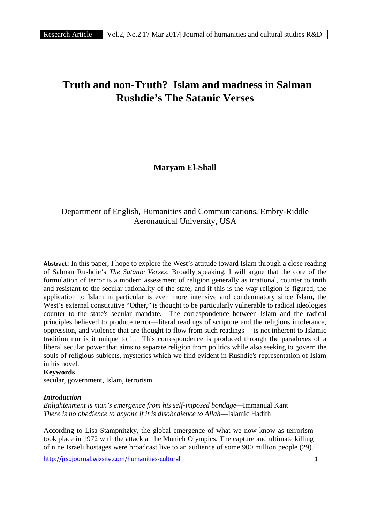# **Truth and non-Truth? Islam and madness in Salman Rushdie's The Satanic Verses**

**Maryam El-Shall**

# Department of English, Humanities and Communications, Embry-Riddle Aeronautical University, USA

**Abstract:** In this paper, I hope to explore the West's attitude toward Islam through a close reading of Salman Rushdie's *The Satanic Verses*. Broadly speaking, I will argue that the core of the formulation of terror is a modern assessment of religion generally as irrational, counter to truth and resistant to the secular rationality of the state; and if this is the way religion is figured, the application to Islam in particular is even more intensive and condemnatory since Islam, the West's external constitutive "Other," is thought to be particularly vulnerable to radical ideologies counter to the state's secular mandate. The correspondence between Islam and the radical principles believed to produce terror—literal readings of scripture and the religious intolerance, oppression, and violence that are thought to flow from such readings— is not inherent to Islamic tradition nor is it unique to it. This correspondence is produced through the paradoxes of a liberal secular power that aims to separate religion from politics while also seeking to govern the souls of religious subjects, mysteries which we find evident in Rushdie's representation of Islam in his novel.

## **Keywords**

secular, government, Islam, terrorism

#### *Introduction*

*Enlightenment is man's emergence from his self-imposed bondage—*Immanual Kant *There is no obedience to anyone if it is disobedience to Allah*—Islamic Hadith

According to Lisa Stampnitzky, the global emergence of what we now know as terrorism took place in 1972 with the attack at the Munich Olympics. The capture and ultimate killing of nine Israeli hostages were broadcast live to an audience of some 900 million people (29).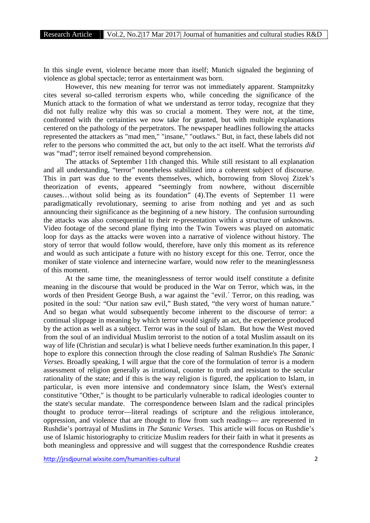In this single event, violence became more than itself; Munich signaled the beginning of violence as global spectacle; terror as entertainment was born.

However, this new meaning for terror was not immediately apparent. Stampnitzky cites several so-called terrorism experts who, while conceding the significance of the Munich attack to the formation of what we understand as terror today, recognize that they did not fully realize why this was so crucial a moment. They were not, at the time, confronted with the certainties we now take for granted, but with multiple explanations centered on the pathology of the perpetrators. The newspaper headlines following the attacks represented the attackers as "mad men," "insane," "outlaws." But, in fact, these labels did not refer to the persons who committed the act, but only to the act itself. What the terrorists *did* was "mad"; terror itself remained beyond comprehension.

The attacks of September 11th changed this. While still resistant to all explanation and all understanding, "terror" nonetheless stabilized into a coherent subject of discourse. This in part was due to the events themselves, which, borrowing from Slovoj Zizek's theorization of events, appeared "seemingly from nowhere, without discernible causes…without solid being as its foundation" (4).The events of September 11 were paradigmatically revolutionary, seeming to arise from nothing and yet and as such announcing their significance as the beginning of a new history. The confusion surrounding the attacks was also consequential to their re-presentation within a structure of unknowns. Video footage of the second plane flying into the Twin Towers was played on automatic loop for days as the attacks were woven into a narrative of violence without history. The story of terror that would follow would, therefore, have only this moment as its reference and would as such anticipate a future with no history except for this one. Terror, once the moniker of state violence and internecine warfare, would now refer to the meaninglessness of this moment.

At the same time, the meaninglessness of terror would itself constitute a definite meaning in the discourse that would be produced in the War on Terror, which was, in the words of then President George Bush, a war against the "evil.´ Terror, on this reading, was posited in the soul: "Our nation saw evil," Bush stated, "the very worst of human nature." And so began what would subsequently become inherent to the discourse of terror: a continual slippage in meaning by which terror would signify an act, the experience produced by the action as well as a subject. Terror was in the soul of Islam. But how the West moved from the soul of an individual Muslim terrorist to the notion of a total Muslim assault on its way of life (Christian and secular) is what I believe needs further examination.In this paper, I hope to explore this connection through the close reading of Salman Rushdie's *The Satanic Verses*. Broadly speaking, I will argue that the core of the formulation of terror is a modern assessment of religion generally as irrational, counter to truth and resistant to the secular rationality of the state; and if this is the way religion is figured, the application to Islam, in particular, is even more intensive and condemnatory since Islam, the West's external constitutive "Other," is thought to be particularly vulnerable to radical ideologies counter to the state's secular mandate. The correspondence between Islam and the radical principles thought to produce terror—literal readings of scripture and the religious intolerance, oppression, and violence that are thought to flow from such readings— are represented in Rushdie's portrayal of Muslims in *The Satanic Verses.* This article will focus on Rushdie's use of Islamic historiography to criticize Muslim readers for their faith in what it presents as both meaningless and oppressive and will suggest that the correspondence Rushdie creates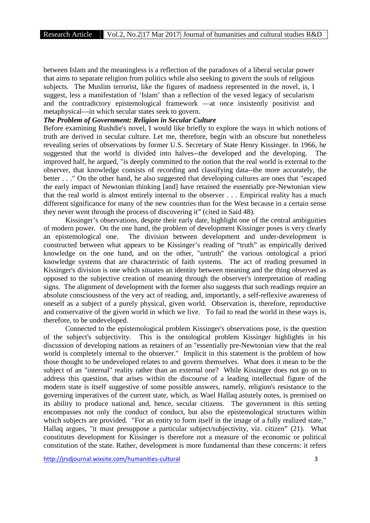between Islam and the meaningless is a reflection of the paradoxes of a liberal secular power that aims to separate religion from politics while also seeking to govern the souls of religious subjects. The Muslim terrorist, like the figures of madness represented in the novel, is, I suggest, less a manifestation of 'Islam' than a reflection of the vexed legacy of secularism and the contradictory epistemological framework —at once insistently positivist and metaphysical—in which secular states seek to govern.

## *The Problem of Government: Religion in Secular Culture*

Before examining Rushdie's novel, I would like briefly to explore the ways in which notions of truth are derived in secular culture. Let me, therefore, begin with an obscure but nonetheless revealing series of observations by former U.S. Secretary of State Henry Kissinger. In 1966, he suggested that the world is divided into halves--the developed and the developing. The improved half, he argued, "is deeply committed to the notion that the real world is external to the observer, that knowledge consists of recording and classifying data--the more accurately, the better . . ." On the other hand, he also suggested that developing cultures are ones that "escaped the early impact of Newtonian thinking [and] have retained the essentially pre-Newtonian view that the real world is almost entirely internal to the observer . . . Empirical reality has a much different significance for many of the new countries than for the West because in a certain sense they never went through the process of discovering it" (cited in Said 48).

Kissinger's observations, despite their early date, highlight one of the central ambiguities of modern power. On the one hand, the problem of development Kissinger poses is very clearly an epistemological one. The division between development and under-development is constructed between what appears to be Kissinger's reading of "truth" as empirically derived knowledge on the one hand, and on the other, "untruth" the various ontological a priori knowledge systems that are characteristic of faith systems. The act of reading presumed in Kissinger's division is one which situates an identity between meaning and the thing observed as opposed to the subjective creation of meaning through the observer's interpretation of reading signs. The alignment of development with the former also suggests that such readings require an absolute consciousness of the very act of reading, and, importantly, a self-reflexive awareness of oneself as a subject of a purely physical, given world. Observation is, therefore, reproductive and conservative of the given world in which we live. To fail to read the world in these ways is, therefore, to be undeveloped.

Connected to the epistemological problem Kissinger's observations pose, is the question of the subject's subjectivity. This is the ontological problem Kissinger highlights in his discussion of developing nations as retainers of an "essentially pre-Newtonian view that the real world is completely internal to the observer." Implicit in this statement is the problem of how those thought to be undeveloped relates to and govern themselves. What does it mean to be the subject of an "internal" reality rather than an external one? While Kissinger does not go on to address this question, that arises within the discourse of a leading intellectual figure of the modern state is itself suggestive of some possible answers, namely, religion's resistance to the governing imperatives of the current state, which, as Wael Hallaq astutely notes, is premised on its ability to produce national and, hence, secular citizens. The government in this setting encompasses not only the conduct of conduct, but also the epistemological structures within which subjects are provided. "For an entity to form itself in the image of a fully realized state," Hallaq argues, "it must presuppose a particular subject/subjectivity, viz. citizen" (21). What constitutes development for Kissinger is therefore not a measure of the economic or political constitution of the state. Rather, development is more fundamental than these concerns: it refers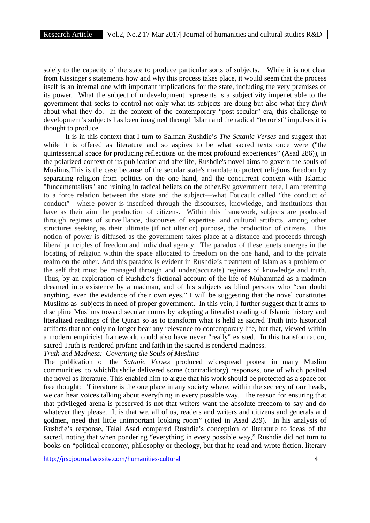solely to the capacity of the state to produce particular sorts of subjects. While it is not clear from Kissinger's statements how and why this process takes place, it would seem that the process itself is an internal one with important implications for the state, including the very premises of its power. What the subject of undevelopment represents is a subjectivity impenetrable to the government that seeks to control not only what its subjects are doing but also what they *think* about what they do. In the context of the contemporary "post-secular" era, this challenge to development's subjects has been imagined through Islam and the radical "terrorist" impulses it is thought to produce.

It is in this context that I turn to Salman Rushdie's *The Satanic Verses* and suggest that while it is offered as literature and so aspires to be what sacred texts once were ("the quintessential space for producing reflections on the most profound experiences" (Asad 286)), in the polarized context of its publication and afterlife, Rushdie's novel aims to govern the souls of Muslims.This is the case because of the secular state's mandate to protect religious freedom by separating religion from politics on the one hand, and the concurrent concern with Islamic "fundamentalists" and reining in radical beliefs on the other.By government here, I am referring to a force relation between the state and the subject—what Foucault called "the conduct of conduct"—where power is inscribed through the discourses, knowledge, and institutions that have as their aim the production of citizens. Within this framework, subjects are produced through regimes of surveillance, discourses of expertise, and cultural artifacts, among other structures seeking as their ultimate (if not ulterior) purpose, the production of citizens. This notion of power is diffused as the government takes place at a distance and proceeds through liberal principles of freedom and individual agency. The paradox of these tenets emerges in the locating of religion within the space allocated to freedom on the one hand, and to the private realm on the other. And this paradox is evident in Rushdie's treatment of Islam as a problem of the self that must be managed through and under(accurate) regimes of knowledge and truth. Thus, by an exploration of Rushdie's fictional account of the life of Muhammad as a madman dreamed into existence by a madman, and of his subjects as blind persons who "can doubt anything, even the evidence of their own eyes," I will be suggesting that the novel constitutes Muslims as subjects in need of proper government. In this vein, I further suggest that it aims to discipline Muslims toward secular norms by adopting a literalist reading of Islamic history and literalized readings of the Quran so as to transform what is held as sacred Truth into historical artifacts that not only no longer bear any relevance to contemporary life, but that, viewed within a modern empiricist framework, could also have never "really" existed. In this transformation, sacred Truth is rendered profane and faith in the sacred is rendered madness.

*Truth and Madness: Governing the Souls of Muslims*

The publication of the *Satanic Verses* produced widespread protest in many Muslim communities, to whichRushdie delivered some (contradictory) responses, one of which posited the novel as literature. This enabled him to argue that his work should be protected as a space for free thought: "Literature is the one place in any society where, within the secrecy of our heads, we can hear voices talking about everything in every possible way. The reason for ensuring that that privileged arena is preserved is not that writers want the absolute freedom to say and do whatever they please. It is that we, all of us, readers and writers and citizens and generals and godmen, need that little unimportant looking room" (cited in Asad 289). In his analysis of Rushdie's response, Talal Asad compared Rushdie's conception of literature to ideas of the sacred, noting that when pondering "everything in every possible way," Rushdie did not turn to books on "political economy, philosophy or theology, but that he read and wrote fiction, literary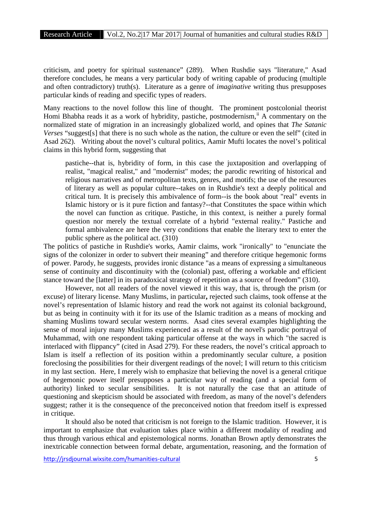criticism, and poetry for spiritual sustenance" (289). When Rushdie says "literature," Asad therefore concludes, he means a very particular body of writing capable of producing (multiple and often contradictory) truth(s). Literature as a genre of *imaginative* writing thus presupposes particular kinds of reading and specific types of readers.

Many reactions to the novel follow this line of thought. The prominent postcolonial theorist Homi Bhabha reads it as a work of hybridity, pastiche, postmodernism,  $\ddot{H}$  A commentary on the normalized state of migration in an increasingly globalized world, and opines that *The Satanic Verses* "suggest[s] that there is no such whole as the nation, the culture or even the self" (cited in Asad 262). Writing about the novel's cultural politics, Aamir Mufti locates the novel's political claims in this hybrid form, suggesting that

pastiche--that is, hybridity of form, in this case the juxtaposition and overlapping of realist, "magical realist," and "modernist" modes; the parodic rewriting of historical and religious narratives and of metropolitan texts, genres, and motifs; the use of the resources of literary as well as popular culture--takes on in Rushdie's text a deeply political and critical turn. It is precisely this ambivalence of form--is the book about "real" events in Islamic history or is it pure fiction and fantasy?--that Constitutes the space within which the novel can function as critique. Pastiche, in this context, is neither a purely formal question nor merely the textual correlate of a hybrid "external reality." Pastiche and formal ambivalence are here the very conditions that enable the literary text to enter the public sphere as the political act. (310)

The politics of pastiche in Rushdie's works, Aamir claims, work "ironically" to "enunciate the signs of the colonizer in order to subvert their meaning" and therefore critique hegemonic forms of power. Parody, he suggests, provides ironic distance "as a means of expressing a simultaneous sense of continuity and discontinuity with the (colonial) past, offering a workable and efficient stance toward the [latter] in its paradoxical strategy of repetition as a source of freedom" (310).

However, not all readers of the novel viewed it this way, that is, through the prism (or excuse) of literary license. Many Muslims, in particular**,** rejected such claims, took offense at the novel's representation of Islamic history and read the work not against its colonial background, but as being in continuity with it for its use of the Islamic tradition as a means of mocking and shaming Muslims toward secular western norms. Asad cites several examples highlighting the sense of moral injury many Muslims experienced as a result of the novel's parodic portrayal of Muhammad, with one respondent taking particular offense at the ways in which "the sacred is interlaced with flippancy" (cited in Asad 279). For these readers, the novel's critical approach to Islam is itself a reflection of its position within a predominantly secular culture, a position foreclosing the possibilities for their divergent readings of the novel; I will return to this criticism in my last section. Here, I merely wish to emphasize that believing the novel is a general critique of hegemonic power itself presupposes a particular way of reading (and a special form of authority) linked to secular sensibilities. It is not naturally the case that an attitude of questioning and skepticism should be associated with freedom, as many of the novel's defenders suggest; rather it is the consequence of the preconceived notion that freedom itself is expressed in critique.

It should also be noted that criticism is not foreign to the Islamic tradition. However, it is important to emphasize that evaluation takes place within a different modality of reading and thus through various ethical and epistemological norms. Jonathan Brown aptly demonstrates the inextricable connection between formal debate, argumentation, reasoning, and the formation of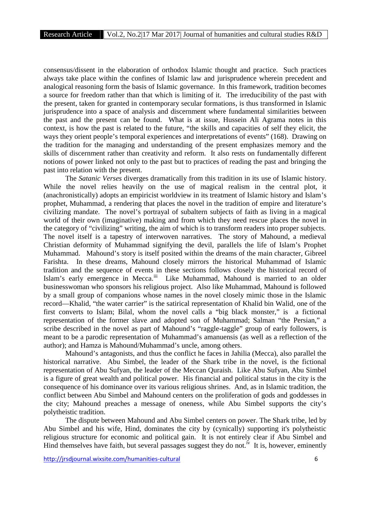consensus/dissent in the elaboration of orthodox Islamic thought and practice. Such practices always take place within the confines of Islamic law and jurisprudence wherein precedent and analogical reasoning form the basis of Islamic governance. In this framework, tradition becomes a source for freedom rather than that which is limiting of it. The irreducibility of the past with the present, taken for granted in contemporary secular formations, is thus transformed in Islamic jurisprudence into a space of analysis and discernment where fundamental similarities between the past and the present can be found. What is at issue, Hussein Ali Agrama notes in this context, is how the past is related to the future, "the skills and capacities of self they elicit, the ways they orient people's temporal experiences and interpretations of events" (168). Drawing on the tradition for the managing and understanding of the present emphasizes memory and the skills of discernment rather than creativity and reform. It also rests on fundamentally different notions of power linked not only to the past but to practices of reading the past and bringing the past into relation with the present.

The *Satanic Verses* diverges dramatically from this tradition in its use of Islamic history. While the novel relies heavily on the use of magical realism in the central plot, it (anachronistically) adopts an empiricist worldview in its treatment of Islamic history and Islam's prophet, Muhammad, a rendering that places the novel in the tradition of empire and literature's civilizing mandate. The novel's portrayal of subaltern subjects of faith as living in a magical world of their own (imaginative) making and from which they need rescue places the novel in the category of "civilizing" writing, the aim of which is to transform readers into proper subjects. The novel itself is a tapestry of interwoven narratives. The story of Mahound, a medieval Christian deformity of Muhammad signifying the devil, parallels the life of Islam's Prophet Muhammad. Mahound's story is itself posited within the dreams of the main character, Gibreel Farishta. In these dreams, Mahound closely mirrors the historical Muhammad of Islamic tradition and the sequence of events in these sections follows closely the historical record of Islam's early emergence in Mecca.<sup>iii</sup> Like Muhammad, Mahound is married to an older businesswoman who sponsors his religious project. Also like Muhammad, Mahound is followed by a small group of companions whose names in the novel closely mimic those in the Islamic record—Khalid, "the water carrier" is the satirical representation of Khalid bin Walid, one of the first converts to Islam; Bilal, whom the novel calls a "big black monster," is a fictional representation of the former slave and adopted son of Muhammad; Salman "the Persian," a scribe described in the novel as part of Mahound's "raggle-taggle" group of early followers, is meant to be a parodic representation of Muhammad's amanuensis (as well as a reflection of the author); and Hamza is Mahound/Muhammad's uncle, among others.

Mahound's antagonists, and thus the conflict he faces in Jahilia (Mecca), also parallel the historical narrative. Abu Simbel, the leader of the Shark tribe in the novel, is the fictional representation of Abu Sufyan, the leader of the Meccan Quraish. Like Abu Sufyan, Abu Simbel is a figure of great wealth and political power. His financial and political status in the city is the consequence of his dominance over its various religious shrines. And, as in Islamic tradition, the conflict between Abu Simbel and Mahound centers on the proliferation of gods and goddesses in the city; Mahound preaches a message of oneness, while Abu Simbel supports the city's polytheistic tradition.

The dispute between Mahound and Abu Simbel centers on power. The Shark tribe, led by Abu Simbel and his wife, Hind, dominates the city by (cynically) supporting it's polytheistic religious structure for economic and political gain. It is not entirely clear if Abu Simbel and Hind themselves have faith, but several passages suggest they do not.<sup>iv</sup> It is, however, eminently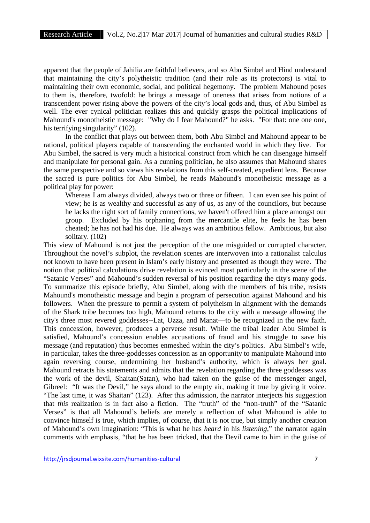apparent that the people of Jahilia are faithful believers, and so Abu Simbel and Hind understand that maintaining the city's polytheistic tradition (and their role as its protectors) is vital to maintaining their own economic, social, and political hegemony. The problem Mahound poses to them is, therefore, twofold: he brings a message of oneness that arises from notions of a transcendent power rising above the powers of the city's local gods and, thus, of Abu Simbel as well. The ever cynical politician realizes this and quickly grasps the political implications of Mahound's monotheistic message: "Why do I fear Mahound?" he asks. "For that: one one one, his terrifying singularity" (102).

In the conflict that plays out between them, both Abu Simbel and Mahound appear to be rational, political players capable of transcending the enchanted world in which they live. For Abu Simbel, the sacred is very much a historical construct from which he can disengage himself and manipulate for personal gain. As a cunning politician, he also assumes that Mahound shares the same perspective and so views his revelations from this self-created, expedient lens. Because the sacred is pure politics for Abu Simbel, he reads Mahound's monotheistic message as a political play for power:

Whereas I am always divided, always two or three or fifteen. I can even see his point of view; he is as wealthy and successful as any of us, as any of the councilors, but because he lacks the right sort of family connections, we haven't offered him a place amongst our group. Excluded by his orphaning from the mercantile elite, he feels he has been cheated; he has not had his due. He always was an ambitious fellow. Ambitious, but also solitary. (102)

This view of Mahound is not just the perception of the one misguided or corrupted character. Throughout the novel's subplot, the revelation scenes are interwoven into a rationalist calculus not known to have been present in Islam's early history and presented as though they were. The notion that political calculations drive revelation is evinced most particularly in the scene of the "Satanic Verses" and Mahound's sudden reversal of his position regarding the city's many gods. To summarize this episode briefly, Abu Simbel, along with the members of his tribe, resists Mahound's monotheistic message and begin a program of persecution against Mahound and his followers. When the pressure to permit a system of polytheism in alignment with the demands of the Shark tribe becomes too high, Mahound returns to the city with a message allowing the city's three most revered goddesses--Lat, Uzza, and Manat—to be recognized in the new faith. This concession, however, produces a perverse result. While the tribal leader Abu Simbel is satisfied, Mahound's concession enables accusations of fraud and his struggle to save his message (and reputation) thus becomes enmeshed within the city's politics. Abu Simbel's wife, in particular, takes the three-goddesses concession as an opportunity to manipulate Mahound into again reversing course, undermining her husband's authority, which is always her goal. Mahound retracts his statements and admits that the revelation regarding the three goddesses was the work of the devil, Shaitan(Satan), who had taken on the guise of the messenger angel, Gibreel: "It was the Devil," he says aloud to the empty air, making it true by giving it voice. "The last time, it was Shaitan" (123). After this admission, the narrator interjects his suggestion that *this* realization is in fact also a fiction. The "truth" of the "non-truth" of the "Satanic Verses" is that all Mahound's beliefs are merely a reflection of what Mahound is able to convince himself is true, which implies, of course, that it is not true, but simply another creation of Mahound's own imagination: "This is what he has *heard* in his *listening*," the narrator again comments with emphasis, "that he has been tricked, that the Devil came to him in the guise of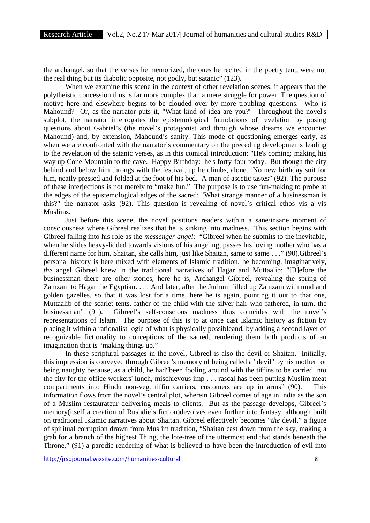the archangel, so that the verses he memorized, the ones he recited in the poetry tent, were not the real thing but its diabolic opposite, not godly, but satanic" (123).

When we examine this scene in the context of other revelation scenes, it appears that the polytheistic concession thus is far more complex than a mere struggle for power. The question of motive here and elsewhere begins to be clouded over by more troubling questions. Who is Mahound? Or, as the narrator puts it, "What kind of idea are you?" Throughout the novel's subplot, the narrator interrogates the epistemological foundations of revelation by posing questions about Gabriel's (the novel's protagonist and through whose dreams we encounter Mahound) and, by extension, Mahound's sanity. This mode of questioning emerges early, as when we are confronted with the narrator's commentary on the preceding developments leading to the revelation of the satanic verses, as in this comical introduction: "He's coming: making his way up Cone Mountain to the cave. Happy Birthday: he's forty-four today. But though the city behind and below him throngs with the festival, up he climbs, alone. No new birthday suit for him, neatly pressed and folded at the foot of his bed. A man of ascetic tastes" (92). The purpose of these interjections is not merely to "make fun." The purpose is to use fun-making to probe at the edges of the epistemological edges of the sacred: "What strange manner of a businessman is this?" the narrator asks (92). This question is revealing of novel's critical ethos vis a vis Muslims.

Just before this scene, the novel positions readers within a sane/insane moment of consciousness where Gibreel realizes that he is sinking into madness. This section begins with Gibreel falling into his role as the *messenger angel*: "Gibreel when he submits to the inevitable, when he slides heavy-lidded towards visions of his angeling, passes his loving mother who has a different name for him, Shaitan, she calls him, just like Shaitan, same to same . . ." (90).Gibreel's personal history is here mixed with elements of Islamic tradition, he becoming, imaginatively, *the* angel Gibreel knew in the traditional narratives of Hagar and Muttaalib: "[B]efore the businessman there are other stories, here he is, Archangel Gibreel, revealing the spring of Zamzam to Hagar the Egyptian. . . . And later, after the Jurhum filled up Zamzam with mud and golden gazelles, so that it was lost for a time, here he is again, pointing it out to that one, Muttaalib of the scarlet tents, father of the child with the silver hair who fathered, in turn, the businessman" (91). Gibreel's self-conscious madness thus coincides with the novel's representations of Islam. The purpose of this is to at once cast Islamic history as fiction by placing it within a rationalist logic of what is physically possibleand, by adding a second layer of recognizable fictionality to conceptions of the sacred, rendering them both products of an imagination that is "making things up."

In these scriptural passages in the novel, Gibreel is also the devil or Shaitan. Initially, this impression is conveyed through Gibreel's memory of being called a "devil" by his mother for being naughty because, as a child, he had"been fooling around with the tiffins to be carried into the city for the office workers' lunch, mischievous imp . . . rascal has been putting Muslim meat compartments into Hindu non-veg, tiffin carriers, customers are up in arms" (90). information flows from the novel's central plot, wherein Gibreel comes of age in India as the son of a Muslim restaurateur delivering meals to clients. But as the passage develops, Gibreel's memory(itself a creation of Rushdie's fiction)devolves even further into fantasy, although built on traditional Islamic narratives about Shaitan. Gibreel effectively becomes "*the* devil," a figure of spiritual corruption drawn from Muslim tradition, "Shaitan cast down from the sky, making a grab for a branch of the highest Thing, the lote-tree of the uttermost end that stands beneath the Throne," (91) a parodic rendering of what is believed to have been the introduction of evil into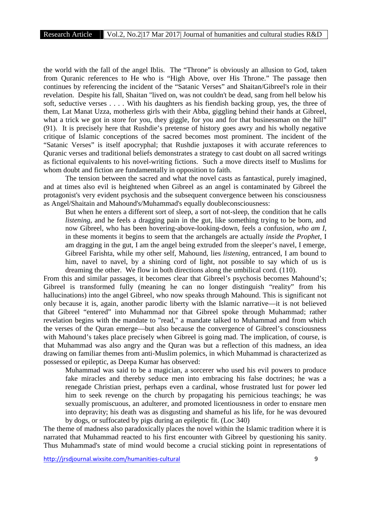the world with the fall of the angel Iblis. The "Throne" is obviously an allusion to God, taken from Quranic references to He who is "High Above, over His Throne." The passage then continues by referencing the incident of the "Satanic Verses" and Shaitan/Gibreel's role in their revelation. Despite his fall, Shaitan "lived on, was not couldn't be dead, sang from hell below his soft, seductive verses . . . . With his daughters as his fiendish backing group, yes, the three of them, Lat Manat Uzza, motherless girls with their Abba, giggling behind their hands at Gibreel, what a trick we got in store for you, they giggle, for you and for that businessman on the hill" (91). It is precisely here that Rushdie's pretense of history goes awry and his wholly negative critique of Islamic conceptions of the sacred becomes most prominent. The incident of the "Satanic Verses" is itself apocryphal; that Rushdie juxtaposes it with accurate references to Quranic verses and traditional beliefs demonstrates a strategy to cast doubt on all sacred writings as fictional equivalents to his novel-writing fictions. Such a move directs itself to Muslims for whom doubt and fiction are fundamentally in opposition to faith.

The tension between the sacred and what the novel casts as fantastical, purely imagined, and at times also evil is heightened when Gibreel as an angel is contaminated by Gibreel the protagonist's very evident psychosis and the subsequent convergence between his consciousness as Angel/Shaitain and Mahound's/Muhammad's equally doubleconsciousness:

But when he enters a different sort of sleep, a sort of not-sleep, the condition that he calls *listening*, and he feels a dragging pain in the gut, like something trying to be born, and now Gibreel, who has been hovering-above-looking-down, feels a confusion, *who am I*, in these moments it begins to seem that the archangels are actually *inside the Prophet*, I am dragging in the gut, I am the angel being extruded from the sleeper's navel, I emerge, Gibreel Farishta, while my other self, Mahound, lies *listening*, entranced, I am bound to him, navel to navel, by a shining cord of light, not possible to say which of us is dreaming the other. We flow in both directions along the umbilical cord. (110).

From this and similar passages, it becomes clear that Gibreel's psychosis becomes Mahound's; Gibreel is transformed fully (meaning he can no longer distinguish "reality" from his hallucinations) into the angel Gibreel, who now speaks through Mahound. This is significant not only because it is, again, another parodic liberty with the Islamic narrative—it is not believed that Gibreel "entered" into Muhammad nor that Gibreel spoke through Muhammad; rather revelation begins with the mandate to "read," a mandate talked to Muhammad and from which the verses of the Quran emerge—but also because the convergence of Gibreel's consciousness with Mahound's takes place precisely when Gibreel is going mad. The implication, of course, is that Muhammad was also angry and the Quran was but a reflection of this madness, an idea drawing on familiar themes from anti-Muslim polemics, in which Muhammad is characterized as possessed or epileptic, as Deepa Kumar has observed:

Muhammad was said to be a magician, a sorcerer who used his evil powers to produce fake miracles and thereby seduce men into embracing his false doctrines; he was a renegade Christian priest, perhaps even a cardinal, whose frustrated lust for power led him to seek revenge on the church by propagating his pernicious teachings; he was sexually promiscuous, an adulterer, and promoted licentiousness in order to ensnare men into depravity; his death was as disgusting and shameful as his life, for he was devoured by dogs, or suffocated by pigs during an epileptic fit. (Loc 340)

The theme of madness also paradoxically places the novel within the Islamic tradition where it is narrated that Muhammad reacted to his first encounter with Gibreel by questioning his sanity. Thus Muhammad's state of mind would become a crucial sticking point in representations of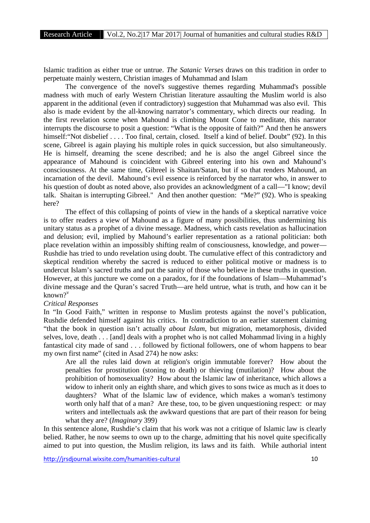Islamic tradition as either true or untrue. *The Satanic Verses* draws on this tradition in order to perpetuate mainly western, Christian images of Muhammad and Islam

The convergence of the novel's suggestive themes regarding Muhammad's possible madness with much of early Western Christian literature assaulting the Muslim world is also apparent in the additional (even if contradictory) suggestion that Muhammad was also evil. This also is made evident by the all-knowing narrator's commentary, which directs our reading. In the first revelation scene when Mahound is climbing Mount Cone to meditate, this narrator interrupts the discourse to posit a question: "What is the opposite of faith?" And then he answers himself: "Not disbelief . . . . Too final, certain, closed. Itself a kind of belief. Doubt" (92). In this scene, Gibreel is again playing his multiple roles in quick succession, but also simultaneously. He is himself, dreaming the scene described; and he is also the angel Gibreel since the appearance of Mahound is coincident with Gibreel entering into his own and Mahound's consciousness. At the same time, Gibreel is Shaitan/Satan, but if so that renders Mahound, an incarnation of the devil. Mahound's evil essence is reinforced by the narrator who, in answer to his question of doubt as noted above, also provides an acknowledgment of a call—"I know; devil talk. Shaitan is interrupting Gibreel." And then another question: "Me?" (92). Who is speaking here?

The effect of this collapsing of points of view in the hands of a skeptical narrative voice is to offer readers a view of Mahound as a figure of many possibilities, thus undermining his unitary status as a prophet of a divine message. Madness, which casts revelation as hallucination and delusion; evil, implied by Mahound's earlier representation as a rational politician: both place revelation within an impossibly shifting realm of consciousness, knowledge, and power— Rushdie has tried to undo revelation using doubt. The cumulative effect of this contradictory and skeptical rendition whereby the sacred is reduced to either political motive or madness is to undercut Islam's sacred truths and put the sanity of those who believe in these truths in question. However, at this juncture we come on a paradox, for if the foundations of Islam—Muhammad's divine message and the Quran's sacred Truth—are held untrue, what is truth, and how can it be known $2^v$ 

#### *Critical Responses*

In "In Good Faith," written in response to Muslim protests against the novel's publication, Rushdie defended himself against his critics. In contradiction to an earlier statement claiming "that the book in question isn't actually *about Islam*, but migration, metamorphosis, divided selves, love, death . . . [and] deals with a prophet who is not called Mohammad living in a highly fantastical city made of sand . . . followed by fictional followers, one of whom happens to bear my own first name" (cited in Asad 274) he now asks:

Are all the rules laid down at religion's origin immutable forever? How about the penalties for prostitution (stoning to death) or thieving (mutilation)? How about the prohibition of homosexuality? How about the Islamic law of inheritance, which allows a widow to inherit only an eighth share, and which gives to sons twice as much as it does to daughters? What of the Islamic law of evidence, which makes a woman's testimony worth only half that of a man? Are these, too, to be given unquestioning respect: or may writers and intellectuals ask the awkward questions that are part of their reason for being what they are? (*Imaginary* 399)

In this sentence alone, Rushdie's claim that his work was not a critique of Islamic law is clearly belied. Rather, he now seems to own up to the charge, admitting that his novel quite specifically aimed to put into question, the Muslim religion, its laws and its faith. While authorial intent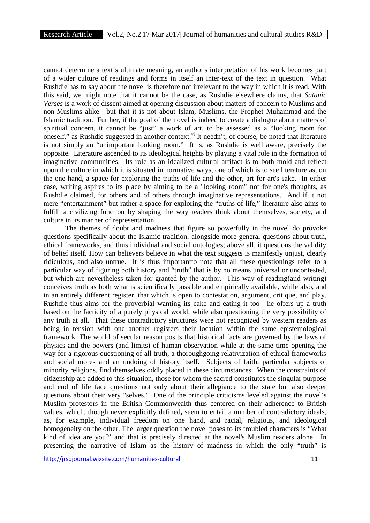cannot determine a text's ultimate meaning, an author's interpretation of his work becomes part of a wider culture of readings and forms in itself an inter-text of the text in question. What Rushdie has to say about the novel is therefore not irrelevant to the way in which it is read. With this said, we might note that it cannot be the case, as Rushdie elsewhere claims, that *Satanic Verses* is a work of dissent aimed at opening discussion about matters of concern to Muslims and non-Muslims alike—but that it is not about Islam, Muslims, the Prophet Muhammad and the Islamic tradition. Further, if the goal of the novel is indeed to create a dialogue about matters of spiritual concern, it cannot be "just" a work of art, to be assessed as a "looking room for oneself," as Rushdie suggested in another context.<sup>vi</sup> It needn't, of course, be noted that literature is not simply an "unimportant looking room." It is, as Rushdie is well aware, precisely the opposite. Literature ascended to its ideological heights by playing a vital role in the formation of imaginative communities. Its role as an idealized cultural artifact is to both mold and reflect upon the culture in which it is situated in normative ways, one of which is to see literature as, on the one hand, a space for exploring the truths of life and the other, art for art's sake. In either case, writing aspires to its place by aiming to be a "looking room" not for one's thoughts, as Rushdie claimed, for others and of others through imaginative representations. And if it not mere "entertainment" but rather a space for exploring the "truths of life," literature also aims to fulfill a civilizing function by shaping the way readers think about themselves, society, and culture in its manner of representation.

The themes of doubt and madness that figure so powerfully in the novel do provoke questions specifically about the Islamic tradition, alongside more general questions about truth, ethical frameworks, and thus individual and social ontologies; above all, it questions the validity of belief itself. How can believers believe in what the text suggests is manifestly unjust, clearly ridiculous, and also untrue. It is thus importantto note that all these questionings refer to a particular way of figuring both history and "truth" that is by no means universal or uncontested, but which are nevertheless taken for granted by the author. This way of reading(and writing) conceives truth as both what is scientifically possible and empirically available, while also, and in an entirely different register, that which is open to contestation, argument, critique, and play. Rushdie thus aims for the proverbial wanting its cake and eating it too—he offers up a truth based on the facticity of a purely physical world, while also questioning the very possibility of any truth at all. That these contradictory structures were not recognized by western readers as being in tension with one another registers their location within the same epistemological framework. The world of secular reason posits that historical facts are governed by the laws of physics and the powers (and limits) of human observation while at the same time opening the way for a rigorous questioning of all truth, a thoroughgoing relativization of ethical frameworks and social mores and an undoing of history itself. Subjects of faith, particular subjects of minority religions, find themselves oddly placed in these circumstances. When the constraints of citizenship are added to this situation, those for whom the sacred constitutes the singular purpose and end of life face questions not only about their allegiance to the state but also deeper questions about their very "selves." One of the principle criticisms leveled against the novel's Muslim protestors in the British Commonwealth thus centered on their adherence to British values, which, though never explicitly defined**,** seem to entail a number of contradictory ideals, as, for example, individual freedom on one hand, and racial, religious, and ideological homogeneity on the other. The larger question the novel poses to its troubled characters is "What kind of idea are you?' and that is precisely directed at the novel's Muslim readers alone. In presenting the narrative of Islam as the history of madness in which the only "truth" is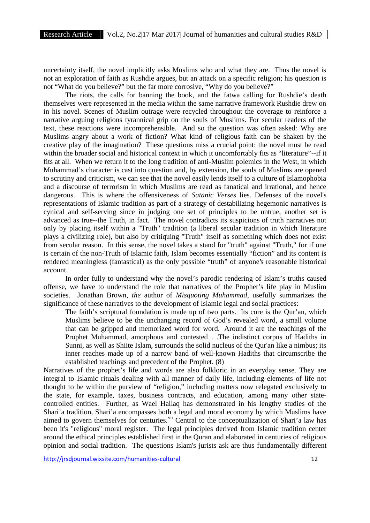uncertainty itself, the novel implicitly asks Muslims who and what they are. Thus the novel is not an exploration of faith as Rushdie argues, but an attack on a specific religion; his question is not "What do you believe?" but the far more corrosive, "Why do you believe?"

The riots, the calls for banning the book, and the fatwa calling for Rushdie's death themselves were represented in the media within the same narrative framework Rushdie drew on in his novel. Scenes of Muslim outrage were recycled throughout the coverage to reinforce a narrative arguing religions tyrannical grip on the souls of Muslims. For secular readers of the text, these reactions were incomprehensible. And so the question was often asked: Why are Muslims angry about a work of fiction? What kind of religious faith can be shaken by the creative play of the imagination? These questions miss a crucial point: the novel must be read within the broader social and historical context in which it uncomfortably fits as "literature"--if it fits at all. When we return it to the long tradition of anti-Muslim polemics in the West, in which Muhammad's character is cast into question and, by extension, the souls of Muslims are opened to scrutiny and criticism, we can see that the novel easily lends itself to a culture of Islamophobia and a discourse of terrorism in which Muslims are read as fanatical and irrational, and hence dangerous. This is where the offensiveness of *Satanic Verses* lies. Defenses of the novel's representations of Islamic tradition as part of a strategy of destabilizing hegemonic narratives is cynical and self-serving since in judging one set of principles to be untrue, another set is advanced as true--the Truth, in fact. The novel contradicts its suspicions of truth narratives not only by placing itself within a "Truth" tradition (a liberal secular tradition in which literature plays a civilizing role), but also by critiquing "Truth" itself as something which does not exist from secular reason. In this sense, the novel takes a stand for "truth" against "Truth," for if one is certain of the non-Truth of Islamic faith, Islam becomes essentially "fiction" and its content is rendered meaningless (fantastical) as the only possible "truth" of anyone's reasonable historical account.

In order fully to understand why the novel's parodic rendering of Islam's truths caused offense, we have to understand the role that narratives of the Prophet's life play in Muslim societies. Jonathan Brown*, the* author of *Misquoting Muhammad*, usefully summarizes the significance of these narratives to the development of Islamic legal and social practices:

The faith's scriptural foundation is made up of two parts. Its core is the Qur'an, which Muslims believe to be the unchanging record of God's revealed word, a small volume that can be gripped and memorized word for word. Around it are the teachings of the Prophet Muhammad, amorphous and contested . .The indistinct corpus of Hadiths in Sunni, as well as Shiite Islam, surrounds the solid nucleus of the Qur'an like a nimbus; its inner reaches made up of a narrow band of well-known Hadiths that circumscribe the established teachings and precedent of the Prophet. (8)

Narratives of the prophet's life and words are also folkloric in an everyday sense. They are integral to Islamic rituals dealing with all manner of daily life, including elements of life not thought to be within the purview of "religion," including matters now relegated exclusively to the state, for example, taxes, business contracts, and education, among many other state controlled entities. Further, as Wael Hallaq has demonstrated in his lengthy studies of the Shari'a tradition, Shari'a encompasses both a legal and moral economy by which Muslims have aimed to govern themselves for centuries.<sup>vii</sup> Central to the conceptualization of Shari'a law has been it's "religious" moral register. The legal principles derived from Islamic tradition center around the ethical principles established first in the Quran and elaborated in centuries of religious opinion and social tradition. The questions Islam's jurists ask are thus fundamentally different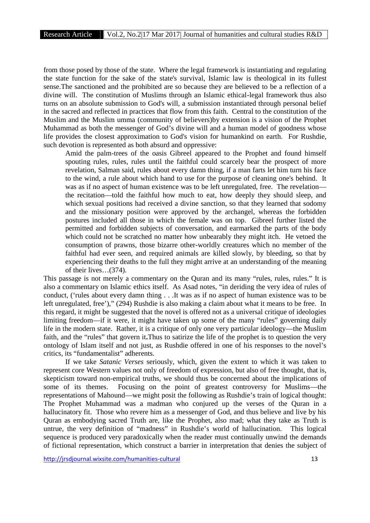from those posed by those of the state. Where the legal framework is instantiating and regulating the state function for the sake of the state's survival, Islamic law is theological in its fullest sense.The sanctioned and the prohibited are so because they are believed to be a reflection of a divine will. The constitution of Muslims through an Islamic ethical-legal framework thus also turns on an absolute submission to God's will, a submission instantiated through personal belief in the sacred and reflected in practices that flow from this faith. Central to the constitution of the Muslim and the Muslim umma (community of believers)by extension is a vision of the Prophet Muhammad as both the messenger of God's divine will and a human model of goodness whose life provides the closest approximation to God's vision for humankind on earth. For Rushdie, such devotion is represented as both absurd and oppressive:

Amid the palm-trees of the oasis Gibreel appeared to the Prophet and found himself spouting rules, rules, rules until the faithful could scarcely bear the prospect of more revelation, Salman said, rules about every damn thing, if a man farts let him turn his face to the wind, a rule about which hand to use for the purpose of cleaning one's behind. It was as if no aspect of human existence was to be left unregulated, free. The revelation the recitation—told the faithful how much to eat, how deeply they should sleep, and which sexual positions had received a divine sanction, so that they learned that sodomy and the missionary position were approved by the archangel, whereas the forbidden postures included all those in which the female was on top. Gibreel further listed the permitted and forbidden subjects of conversation, and earmarked the parts of the body which could not be scratched no matter how unbearably they might itch. He vetoed the consumption of prawns, those bizarre other-worldly creatures which no member of the faithful had ever seen, and required animals are killed slowly, by bleeding, so that by experiencing their deaths to the full they might arrive at an understanding of the meaning of their lives…(374).

This passage is not merely a commentary on the Quran and its many "rules, rules, rules." It is also a commentary on Islamic ethics itself. As Asad notes, "in deriding the very idea of rules of conduct, ('rules about every damn thing . . .It was as if no aspect of human existence was to be left unregulated, free')," (294) Rushdie is also making a claim about what it means to be free. In this regard, it might be suggested that the novel is offered not as a universal critique of ideologies limiting freedom—if it were, it might have taken up some of the many "rules" governing daily life in the modern state. Rather, it is a critique of only one very particular ideology—the Muslim faith, and the "rules" that govern it**.**Thus to satirize the life of the prophet is to question the very ontology of Islam itself and not just, as Rushdie offered in one of his responses to the novel's critics, its "fundamentalist" adherents.

If we take *Satanic Verses* seriously, which, given the extent to which it was taken to represent core Western values not only of freedom of expression, but also of free thought, that is, skepticism toward non-empirical truths, we should thus be concerned about the implications of some of its themes. Focusing on the point of greatest controversy for Muslims—the representations of Mahound—we might posit the following as Rushdie's train of logical thought: The Prophet Muhammad was a madman who conjured up the verses of the Quran in a hallucinatory fit. Those who revere him as a messenger of God, and thus believe and live by his Quran as embodying sacred Truth are, like the Prophet, also mad; what they take as Truth is untrue, the very definition of "madness" in Rushdie's world of hallucination. This logical sequence is produced very paradoxically when the reader must continually unwind the demands of fictional representation, which construct a barrier in interpretation that denies the subject of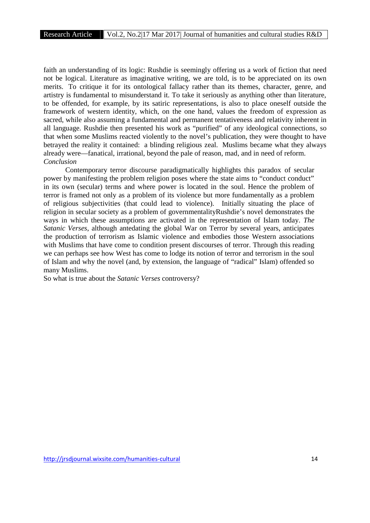faith an understanding of its logic: Rushdie is seemingly offering us a work of fiction that need not be logical. Literature as imaginative writing, we are told, is to be appreciated on its own merits. To critique it for its ontological fallacy rather than its themes, character, genre, and artistry is fundamental to misunderstand it. To take it seriously as anything other than literature, to be offended, for example, by its satiric representations, is also to place oneself outside the framework of western identity, which, on the one hand, values the freedom of expression as sacred, while also assuming a fundamental and permanent tentativeness and relativity inherent in all language. Rushdie then presented his work as "purified" of any ideological connections, so that when some Muslims reacted violently to the novel's publication, they were thought to have betrayed the reality it contained: a blinding religious zeal. Muslims became what they always already were—fanatical, irrational, beyond the pale of reason, mad, and in need of reform. *Conclusion*

Contemporary terror discourse paradigmatically highlights this paradox of secular power by manifesting the problem religion poses where the state aims to "conduct conduct" in its own (secular) terms and where power is located in the soul. Hence the problem of terror is framed not only as a problem of its violence but more fundamentally as a problem of religious subjectivities (that could lead to violence). Initially situating the place of religion in secular society as a problem of governmentalityRushdie's novel demonstrates the ways in which these assumptions are activated in the representation of Islam today. *The Satanic Verses*, although antedating the global War on Terror by several years, anticipates the production of terrorism as Islamic violence and embodies those Western associations with Muslims that have come to condition present discourses of terror. Through this reading we can perhaps see how West has come to lodge its notion of terror and terrorism in the soul of Islam and why the novel (and, by extension, the language of "radical" Islam) offended so many Muslims.

So what is true about the *Satanic Verses* controversy?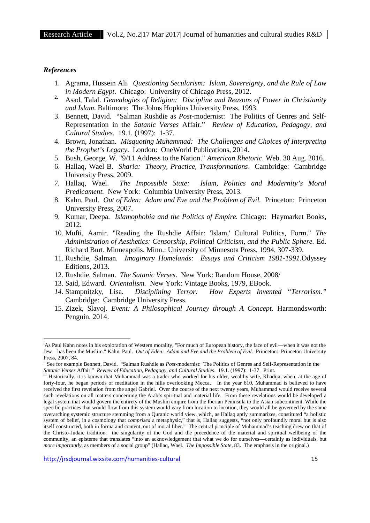#### *References*

- 1. Agrama, Hussein Ali. *Questioning Secularism: Islam, Sovereignty, and the Rule of Law in Modern Egypt*. Chicago: University of Chicago Press, 2012.
- 2. Asad, Talal. *Genealogies of Religion: Discipline and Reasons of Power in Christianity and Islam*. Baltimore: The Johns Hopkins University Press, 1993.
- 3. Bennett, David. "Salman Rushdie as *Post-*modernist: The Politics of Genres and Self- Representation in the *Satanic Verses* Affair." *Review of Education, Pedagogy, and Cultural Studies*. 19.1. (1997): 1-37.
- 4. Brown, Jonathan. *Misquoting Muhammad: The Challenges and Choices of Interpreting the Prophet's Legacy*. London: OneWorld Publications, 2014.
- 5. Bush, George, W. "9/11 Address to the Nation." *American Rhetoric*. Web. 30 Aug. 2016.
- 6. Hallaq, Wael B*. Sharia: Theory, Practice, Transformations*. Cambridge: Cambridge University Press, 2009.
- *7.* Hallaq, Wael. *The Impossible State: Islam, Politics and Modernity's Moral Predicament.* New York: Columbia University Press, 2013*.*
- 8. Kahn, Paul. *Out of Eden: Adam and Eve and the Problem of Evil.* Princeton: Princeton University Press, 2007.
- 9. Kumar, Deepa. *Islamophobia and the Politics of Empire.* Chicago: Haymarket Books, 2012.
- 10. Mufti, Aamir. "Reading the Rushdie Affair: 'Islam,' Cultural Politics, Form." *The Administration of Aesthetics: Censorship, Political Criticism, and the Public Sphere.* Ed. Richard Burt. Minneapolis, Minn.: University of Minnesota Press, 1994, 307-339.
- 11. Rushdie, Salman. *Imaginary Homelands: Essays and Criticism 1981-1991.*Odyssey Editions, 2013.
- 12. Rushdie, Salman. *The Satanic Verses*. New York: Random House, 2008/
- 13. Said, Edward. *Orientalism.* New York: Vintage Books, 1979, EBook.
- *14.* Stampnitzky, Lisa. *Disciplining Terror: How Experts Invented "Terrorism."* Cambridge: Cambridge University Press.
- 15. Zizek, Slavoj. *Event: A Philosophical Journey through A Concept.* Harmondsworth: Penguin, 2014.

<sup>&</sup>lt;sup>i</sup>As Paul Kahn notes in his exploration of Western morality, "For much of European history, the face of evil—when it was not the Jew—has been the Muslim." Kahn, Paul. *Out of Eden: Adam and Eve and the Problem of Evil.* Princeton: Princeton University Press, 2007, 84.

ii See for example Bennett, David. "Salman Rushdie as *Post-*modernist: The Politics of Genres and Self-Representation in the *Satanic Verses* Affair." *Review of Education, Pedagogy, and Cultural Studies*. 19.1. (1997): 1-37. Print.

iii Historically, it is known that Muhammad was a trader who worked for his older, wealthy wife, Khadija, when, at the age of forty-four, he began periods of meditation in the hills overlooking Mecca. In the year 610, Muhammad is believed to have received the first revelation from the angel Gabriel. Over the course of the next twenty years, Muhammad would receive several such revelations on all matters concerning the Arab's spiritual and material life. From these revelations would be developed a legal system that would govern the entirety of the Muslim empire from the Iberian Peninsula to the Asian subcontinent. While the specific practices that would flow from this system would vary from location to location, they would all be governed by the same overarching systemic structure stemming from a Quranic world view, which, as Hallaq aptly summarizes, constituted "a holistic system of belief, in a cosmology that *comprised* a metaphysic," that is, Hallaq suggests, "not only profoundly moral but is also itself constructed, both in forma and content, out of moral fiber." The central principle of Muhammad's teaching drew on that of the Christo-Judaic tradition: the singularity of the God and the precedence of the material and spiritual wellbeing of the community, an episteme that translates "into an acknowledgement that what we do for ourselves—certainly as individuals, but *more importantly*, as members of a social group" (Hallaq, Wael. *The Impossible State,* 83. The emphasis in the original.)